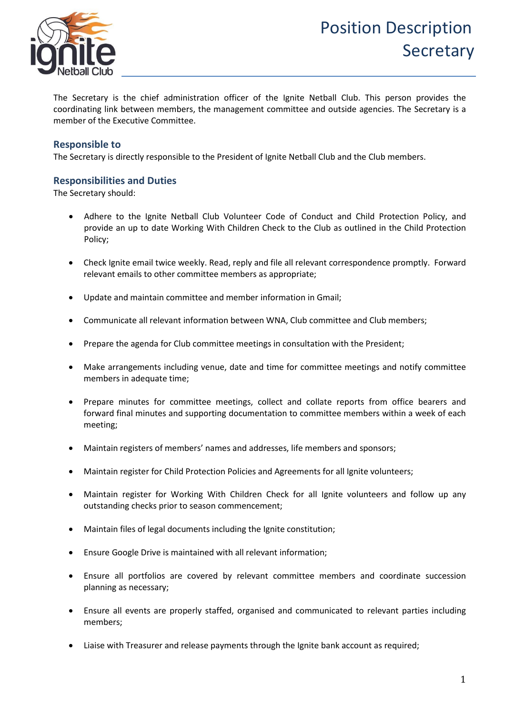

The Secretary is the chief administration officer of the Ignite Netball Club. This person provides the coordinating link between members, the management committee and outside agencies. The Secretary is a member of the Executive Committee.

### **Responsible to**

The Secretary is directly responsible to the President of Ignite Netball Club and the Club members.

#### **Responsibilities and Duties**

The Secretary should:

- Adhere to the Ignite Netball Club Volunteer Code of Conduct and Child Protection Policy, and provide an up to date Working With Children Check to the Club as outlined in the Child Protection Policy;
- Check Ignite email twice weekly. Read, reply and file all relevant correspondence promptly. Forward relevant emails to other committee members as appropriate;
- Update and maintain committee and member information in Gmail;
- Communicate all relevant information between WNA, Club committee and Club members;
- Prepare the agenda for Club committee meetings in consultation with the President;
- Make arrangements including venue, date and time for committee meetings and notify committee members in adequate time;
- Prepare minutes for committee meetings, collect and collate reports from office bearers and forward final minutes and supporting documentation to committee members within a week of each meeting;
- Maintain registers of members' names and addresses, life members and sponsors;
- Maintain register for Child Protection Policies and Agreements for all Ignite volunteers;
- Maintain register for Working With Children Check for all Ignite volunteers and follow up any outstanding checks prior to season commencement;
- Maintain files of legal documents including the Ignite constitution;
- Ensure Google Drive is maintained with all relevant information;
- Ensure all portfolios are covered by relevant committee members and coordinate succession planning as necessary;
- Ensure all events are properly staffed, organised and communicated to relevant parties including members;
- Liaise with Treasurer and release payments through the Ignite bank account as required;